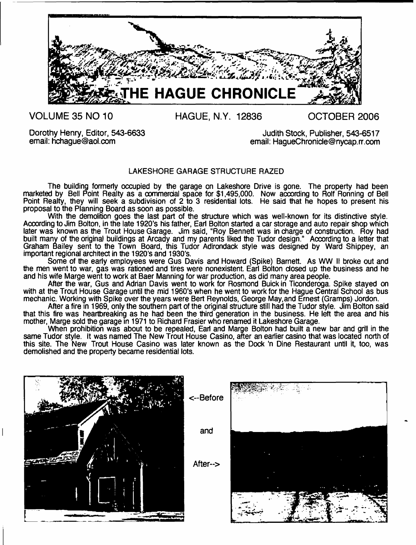

**VOLUME 35 NO 10**

**HAGUE, N.Y. 12836**

**OCTOBER 2006**

Dorothy Henry, Editor, 543-6633 email: [hchague@aol.com](mailto:hchague@aol.com)

Judith Stock, Publisher, 543-6517 email: [HagueChronide@nycap.rr.com](mailto:HagueChronide@nycap.rr.com)

#### LAKESHORE GARAGE STRUCTURE RAZED

The building formerly occupied by the garage on Lakeshore Drive is gone. The property had been marketed by Bell Point Realty as a commercial space for \$1,495,000. Now according to Rolf Ronning of Bell Point Realty, they will seek a subdivision of 2 to 3 residential lots. He said that he hopes to present his proposal to the Planning Board as soon as possible.

With the demolition goes the last part of the structure which was well-known for its distinctive style. According to Jim Bolton, in the late 1920's his father, Earl Bolton started a car storage and auto repair shop which later was known as the Trout House Garage. Jim said, "Roy Bennett was in charge of construction. Roy had built many of the original buildings at Arcady and my parents liked the Tudor design." According to a letter that Graham Bailey sent to the Town Board, this Tudor Adirondack style was designed by Ward Shippey, an important regional architect in the 1920's and 1930's.

Some of the early employees were Gus Davis and Howard (Spike) Barnett. As WW II broke out and the men went to war, gas was rationed and tires were nonexistent. Earl Bolton closed up the business and he and his wife Marge went to work at Baer Manning for war production, as did many area people.

After the war, Gus and Adrian Davis went to work for Rosmond Buickin Ticonderoga. Spike stayed on with at the Trout House Garage until the mid 1960's when he went to work for the Hague Central School as bus mechanic. Working with Spike over the years were Bert Reynolds, George May,and Ernest (Gramps) Jordon.

After a fire in 1969, only the southern part of the original structure still had the Tudor style. Jim Bolton said that this fire was heartbreaking as he had been the third generation in the business. He left the area and his mother, Marge sold the garage in 1971 to Richard Frasier who renamed it Lakeshore Garage.

When prohibition was about to be repealed, Earl and Marge Bolton had built a new bar and grill in the same Tudor style. It was named The New Trout House Casino, after an earlier casino that was located north of this site. The New Trout House Casino was later known as the Dock 'n Dine Restaurant until it, too, was demolished and the property became residential lots.

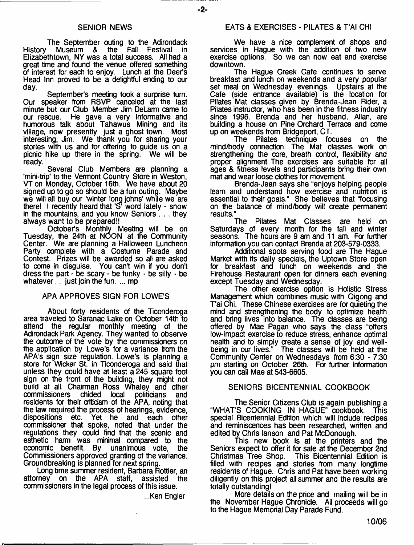#### SENIOR NEWS

The September outing to the Adirondack<br>Museum & the Fall Festival in History Museum & the Fall Festival Elizabethtown, NY was a total success. All had a great time and found the venue offered something of interest for each to enjoy. Lunch at the Deer's Head Inn proved to be a delightful ending to our day.

September's meeting took a surprise turn. Our speaker from RSVP canceled at the last minute but our Club Member Jim DeLarm came to our rescue. He gave a very informative and humorous talk about Tahawus Mining and its village, now presently just a ghost town. Most interesting, Jim. We thank you for sharing your stories with us and for offering to quide us on a picnic hike up there in the spring. We will be ready.

Several Club Members are planning a 'mini-trip' to the Vermont Country Store in Weston, VT on Monday, October 16th. We have about 20 signed up to go so should be a fun outing. Maybe we will all buy our 'winter long johns' while we are there! I recently heard that 'S' word lately - snow in the mountains, and you know Seniors . . . they always want to be prepared!!

October's Monthly Meeting will be on Tuesday, the 24th at NOON at the Community Center. We are planning a Halloween Luncheon Party complete with a Costume Parade and Contest. Prizes will be awarded so all are asked to oome in disguise. You can't win if you don't dress the part - be scary - be funky - be silly - be whatever... just join the fun.  $\dots$  mp

#### APA APPROVES SIGN FOR LOWE'S

About forty residents of the Ticonderoga area traveled to Saranac Lake on October 14th to attend the regular monthly meeting of the Adirondack Park Agency. They wanted to observe the outcome of the vote by the commissioners on the application by Lowe's for a variance from the APA's sign size regulation. Lowe's is planning a store for Wicker St. in Ticonderoga and said that unless they could have at least  $a$  245 square foot sign on the front of the building, they might not build at all. Chairman Ross Whaley and other<br>commissioners chided local politicians and commissioners chided local politicians and residents for their criticism of the APA, noting that the law required the process of hearings, evidence,<br>dispositions etc. Yet he and each other Yet he and each other commissioner that spoke, noted that under the regulations they could find that the scenic and esthetic harm was minimal compared to the economic benefit. By unanimous vote, the economic benefit. By unanimous vote, Commissioners approved granting of the variance. Groundbreaking is planned for next spring.

Long time summer resident, Barbara Rottier, an<br>attorney on the APA staff, assisted the on the APA staff, commissioners in the legal process of this issue.

...Ken Engler

#### EATS & EXERCISES - PILATES & T'AI CHI

We have a nice complement of shops and services in Haque with the addition of two new exercise options. So we can now eat and exercise downtown.

The Hague Creek Cafe continues to serve breakfast and lunch on weekends and a very popular set meal on Wednesday evenings. Upstairs at the Cafe (side entrance available) is the location for Pilates Mat classes given by Brenda-Jean Rider, a Pilates instructor, who has been in the fitness industry since 1996. Brenda and her husband, Allan, are building a house on Pine Orchard Terrace and oome up on weekends from Bridgeport, CT.

The Pilates technique focuses on the mind/body connection. The Mat classes work on strengthening the core, breath control, flexibility and proper alignment. The exercises are suitable for all ages & fitness levels and participants bring their own mat and wear loose clothes for movement.

Brenda-Jean says she "enjoys helping people learn and understand how exercise and nutrition is essential to their goals." She believes that "focusing on the balance of mind/body will create permanent results."

The Pilates Mat Classes are held on Saturdays of every month for the fall and winter seasons. The hours are 9 am and 11 am. Fa further information you can contact Brenda at 203-579-0333.

Additional spots serving food are The Hague Market with its daily specials, the Uptown Store open for breakfast and lunch on weekends and the Firehouse Restaurant open for dinners each evening except Tuesday and Wednesday.

The other exercise option is Holistic Stress Management which combines music with Qigong and T'ai Chi. These Chinese exercises are for quieting the mind and strengthening the body to optimize health and bring lives into balance. The classes are being offered by Mae Pagan who says the ciass "offers low-impact exercise to reduce stress, enhance optimal health and to simply create a sense of joy and wellbeing in our lives." The classes will be held at the Community Center on Wednesdays from 6:30 - 7:30 pm starting on October 26th. For further information you can call Mae at 543-6605.

#### SENIORS BICENTENNIAL COOKBOOK

The Senior Citizens Club is again publishing a "WHAT'S COOKING IN HAGUE" cookbook. This special Bicentennial Edition which will include recipes and reminiscences has been researched, written and edited by Chris lanson and Pat McDonough.

This new book is at the printers and the Seniors expect to offer it for sale at the December 2nd Christmas Tree Shop. This Bicentennial Edition is filled with recipes and stories from many longtime residents of Hague. Chris and Pat have been working diligently on this project all summer and the results are totally outstanding!

More details on the price and mailing will be in the November Hague Chronicle. All proceeds will go to the Hague Memorial Day Parade Fund.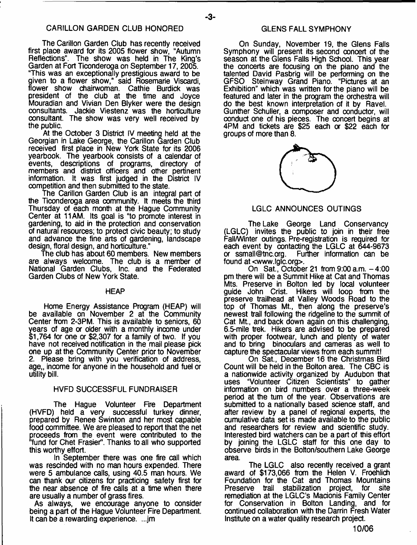#### CARILLON GARDEN CLUB HONORED

The Carillon Garden Club has recently received first place award for its 2005 flower show, "Autumn Reflections". The show was held in The King's Garden at Fort Ticonderoga on September 17, 2005. "This was an exceptionally prestigious award to be given to a flower show," said Rosemarie Viscardi, flower show chairwoman. Cathie Burdick was president of the dub at the time and Joyce Mouradian and Vivian Den Blyker were the design consultants. Jackie Viestenz was the horticulture consultant. The show was very well received by the public.

At the October 3 District IV meeting held at the Georgian in Lake George, the Carillon Garden Club reoeived first place in New York State for its 2006 yearbook. The yearbook consists of a calendar of events, descriptions of programs, directory of members and district officers and other pertinent information, it was first judged in the District IV competition and then submitted to the state.

The Carillon Garden Club is an integral part of the Ticonderoga area community. It meets the third Thursday of each month at the Hague Community Center at 11AM. Its goal is "to promote interest in gardening, to aid in the protection and conservation of natural resources; to protect civic beauty; to study and advance the fine arts of gardening, landscape design, floral design, and horticulture."

The club has about 60 members. New members are always welcome. The dub is a member of National Garden Clubs, Inc. and the Federated Garden Clubs of New York State.

#### **HEAP**

Home Energy Assistance Program (HEAP) will be available on November 2 at the Community Center from 2-3PM. This is available to seniors, 60 years of age or older with a monthly income under \$1,764 for one or \$2,307 for a family of two. If you have not received notification in the mail please pick one up at the Community Center prior to November 2. Please bring with you verification of address, age,, income for anyone in the household and fuel or utility bill.

#### HVFD SUCCESSFUL FUNDRAISER

The Hague Volunteer Fire Department (HVFD) held a very successful turkey dinner, prepared by Renee Swinton and her most capable food oommittee. We are pleased to report that the net proceeds from the event were contributed to the f'fund for Chet Frasier". Thanks to all who supported this worthy effort.

In September there was one fire call which was rescinded with no man hours expended. There were 5 ambulance calls, using 40.5 man hours. We can thank our citizens for practicing safety first for the near absence of fire calls at a time when there are usually a number of grass fires.

As always, we encourage anyone to consider being a part of the Hague Volunteer Fire Department. It can be a rewarding experience. ...jm

#### GLENS FALL SYMPHONY

On Sunday, November 19, the Glens Falls Symphony will present its second concert of the season at the Glens Falls High School. This year the concerts are focusing on the piano and the talented David Pasbrig will be performing on the GFSO Stein way Grand Piano. "Pictures at an Exhibition" which was written for the piano will be featured and later in the program the orchestra will do the best known interpretation of it by Ravel. Gunther Schuller, a composer and conductor, will condud one of his pieces. The concert begins at 4PM and tickets are \$25 each or \$22 each for groups of more than 8.



#### LGLC ANNOUNCES OUTINGS

The Lake George Land Conservancy (LGLC) invites the public to join in their free Fall/Winter outings. Pre-registration is required for each event by contacting the LGLC at 644-9673<br>or ssmall@tnc.org. Further information can be Further information can be found at [<www.lglc.org](http://www.lglc.org)>.

On Sat., October 21 from 9:00 a.m. -4:00 pm there will be a Summit Hike at Cat and Thomas Mts. Preserve in Bolton led by local volunteer guide John Crist. Hikers will loop from the preserve trailhead at Valley Woods Road to the top of Thomas Mt., then along the preserve's newest trail following the ridgeline to the summit of Cat Mt., and back down again on this challenging, 6.5-mile trek. Hikers are advised to be prepared with proper footwear, lunch and plenty of water and to bring binoculars and cameras as well to capture the spectacular views from each summit!

On Sat., December 16 the Christmas Bird Count will be held in the Bolton area. The CBC is a nationwide activity organized by Audubon that uses "Volunteer Citizen Scientists" to gather information on bird numbers over a three-week period at the turn of the year. Observations are submitted to a nationally based science staff, and after review by a panel of regional experts, the cumulative data set is made available to the public and researchers for review and scientific study. Interested bird watchers can be a part of this effort by joining the LGLC staff for this one day to observe birds in the Bolton/southern Lake George area.

The LGLC also recently received a grant award of \$173,066 from the Helen V. Froehlich Foundation for the Cat and Thomas Mountains Preserve trail stabilization project, for site remediation at the LGLC's Macionis Family Center for Conservation in Bolton Landing, and for continued collaboration with the Darrin Fresh Water Institute on a water quality research project.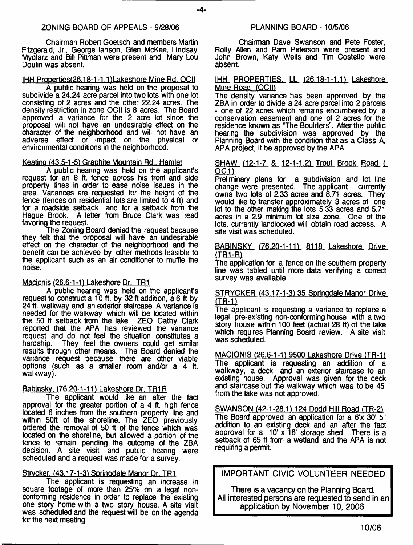#### ZONING BOARD OF APPEALS - 9/28/06

-4-

Chairman Robert Goetsch and members Martin Fitzgerald, Jr., George Ianson, Glen McKee, Lindsay Mydlarz and Bill Pittman were present and Mary Lou Doulin was absent.

#### IHH Properties(26.18-1-1.1)Lakeshore Mine Rd. OCII

A public hearing was held on the proposal to subdivide a 24.24 acre parcel into two lots with one lot consisting of 2 acres and the other 22.24 acres. The density restriction in zone OCII is 8 acres. The Board approved a variance for the 2 acre lot since the proposal will not have an undesirable effect on the character of the neighborhood and will not have an adverse effect or impact on the physical or environmental conditions in the neighborhood.

#### Keating (43.5-1-51 Graphite Mountain Rd.. Hamlet

A public hearing was held on the applicant's request for an 8 ft. fence across his front and side property lines in order to ease noise issues in the area. Variances are requested for the height of the fence (fences on residential lots are limited to 4 ft) and for a roadside setback and for a setback from the Hague Brook. A letter from Bruce Clark was read favoring the request.

The Zoning Board denied the request because they felt that the proposal will have an undesirable effect on the character of the neighborhood and the benefit can be achieved by other methods feasible to the applicant such as an air conditioner to muffle the noise.

#### Macionis (26.6-1-1) Lakeshore Dr. TR1

A public hearing was held on the applicant's request to construct a 10 ft. by 32 ft addition, a 6 ft by 24 ft. walkway and an exterior staircase. A variance is needed for the walkway which will be located within the 50 ft setback from the lake. ZEO Cathy Clark reported that the APA has reviewed the variance request and do not feel the situation constitutes a They feel the owners could get similar results through other means. The Board denied the variance request because there are other viable options (such as a smaller room and/or a 4 ft. walkway).

#### Babinsky. (76.20-1-11) Lakeshore Dr. TR1R

The applicant would like an after the fact approval for the greater portion of a 4 ft. high fence located 6 inches from the southern property line and within 50ft of the shoreline. The ZEO previously ordered the removal of 50 ft of the fence which was located on the shoreline, but allowed a portion of the fence to remain, pending the outcome of the ZBA decision. A site visit and public hearing were scheduled and a request was made for a survey.

#### Strycker. (43.17-1-3) Springdale Manor Dr. TR1

The applicant is requesting an increase in square footage of more than 25% on a legal nonconforming residence in order to replace the existing one story home with a two story house. A site visit was scheduled and the request will be on the agenda for the next meeting.

Chairman Dave Swanson and Pete Foster, Roily Allen and Pam Peterson were present and John Brown, Katy Wells and Tim Costello were absent.

#### IHH PROPERTIES. LL (26.18-1-1.1) Lakeshore Mine Road (OCII)

The density variance has been approved by the ZBA in order to divide a 24 acre parcel into 2 parcels - one of 22 acres which remains encumbered by a conservation easement and one of 2 acres for the residence known as "The Boulders". After the public hearing the subdivision was approved by the Planning Board with the condition that as a Class A, APA project, it be approved by the APA.

#### SHAW (12-1-7 & 12-1-1.2) Trout Brook Road (  $OC1)$

Preliminary plans for a subdivision and lot line change were presented. The applicant currently change were presented. The applicant owns two lots of 2.33 acres and 8.71 acres. They would like to transfer approximately 3 acres of one lot to the other making the lots 5.33 acres and 5.71 acres in a 2.9 minimum lot size zone. One of the lots, currently landlocked will obtain road access. A site visit was scheduled.

#### BABINSKY (76.20-1-11) 8118 Lakeshore Drive (TR1-R1

The application for a fence on the southern property line was tabled until more data verifying a correct survey was available.

#### STRYCKER (43.17-1-3) 35 Springdale Manor Drive **(TBiD**

The applicant is requesting a variance to replace a legal pre-existing non-conforming house with a two story house within 100 feet (actual 28 ft) of the lake which requires Planning Board review. A site visit was scheduled.

MACIONIS (26.6-1-1) 9500 Lakeshore Drive (TR-1) The applicant is requesting an addition of a walkway, a deck and an exterior staircase to an existing house. Approval was given for the deck and staircase but the walkway which was to be 45' from the lake was not approved.

#### SWANSON (42-1-28.1) 124 Dodd Hill Road (TR-2)

The Board approved an application for a 6'x 30' 5" addition to an existing deck and an after the fact approval for a 10' x 16' storage shed. There is a setback of 65 ft from a wetland and the APA is not requiring a permit.

IMPORTANT CIVIC VOLUNTEER NEEDED

There is a vacancy on the Planning Board. All interested persons are requested to send in an application by November 10, 2006.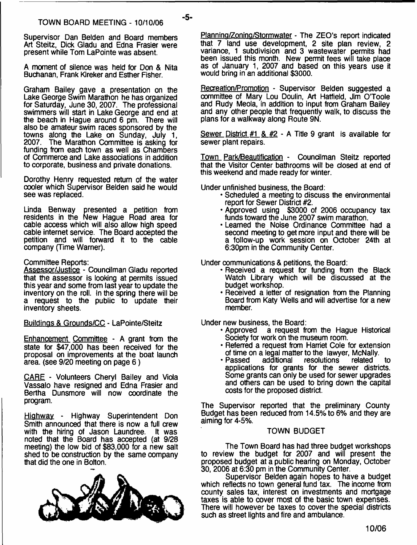-5-

Supervisor Dan Belden and Board members Art Steitz, Dick Gladu and Edna Frasier were present while Tom LaPointe was absent.

A moment of silence was held for Don & Nita Buchanan, Frank Kireker and Esther Fisher.

Graham Bailey gave a presentation on the Lake George Swim Marathon he has organized for Saturday, June 30, 2007. The professional swimmers will start in Lake George and end at the beach in Hague around 6 pm. There will also be amateur swim races sponsored by the towns along the Lake on Sunday, July 1, 2007. The Marathon Committee is asking for funding from each town as well as Chambers of Commerce and Lake associations in addition to corporate, business and private donations.

Dorothy Henry requested return of the water cooler which Supervisor Belden said he would see was replaced.

Linda Benway presented a petition from residents in the New Hague Road area for cable access which will also allow high speed cable internet service. The Board accepted the petition and will forward it to the cable company (Time Warner).

#### Committee Reports:

Assessor/Justice - Councilman Gladu reported that the assessor is looking at permits issued this year and some from last year to update the inventory on the roll. In the spring there will be a request to the public to update their inventory sheets.

Buildings & Grounds/CC - LaPointe/Steitz

Enhancement Committee - A grant from the state for \$47,000 has been received for the proposal on improvements at the boat launch area, (see 9/20 meeting on page 6)

CARE - Volunteers Cheryl Bailey and Viola Vassalo have resigned and Edna Frasier and Bertha Dunsmore will now coordinate the program.

Highway - Highway Superintendent Don Smith announced that there is now a full crew with the hiring of Jason Laundree. It was noted that the Board has accepted (at 9/28 meeting) the low bid of \$83,000 for a new salt shed to be construction by the same company that did the one in Bolton.



Planning/Zoning/Stormwater - The ZEO's report indicated that 7 land use development, 2 site plan review, 2 variance, 1 subdivision and 3 wastewater permits had been issued this month. New permit fees will take place as of January 1, 2007 and based on this years use it would bring in an additional \$3000.

Recreation/Promotion - Supervisor Belden suggested a oommittee of Mary Lou Doulin, Art Hatfield, Jim O'Toole and Rudy Meola, in addition to input from Graham Bailey and any other people that frequently walk, to discuss the plans for a walkway along Route 9N.

Sewer District  $#1 \& #2 - A$  Title 9 grant is available for sewer plant repairs.

Town Park/Beautification - Councilman Steitz reported that the Visitor Center bathrooms will be closed at end of this weekend and made ready for winter.

Under unfinished business, the Board:

- Scheduled a meeting to discuss the environmental report for Sewer District #2.
- Approved using \$3000 of 2006 occupancy tax funds toward the June 2007 swim marathon.
- Learned the Noise Ordinance Committee had a second meeting to get more input and there will be a follow-up work session on October 24th at 6:30pm in the Community Center.

Under communications & petitions, the Board:

- Received a request for funding from the Black Watch Library which will be discussed at the budget workshop.
- Received a letter of resignation from the Planning Board from Katy Wells and will advertise for a new member.

Under new business, the Board:

- Approved a request from the Hague Historical Society for work on the museum room.
- Referred a request from Harriet Cole for extension of time on a legal matter to the lawyer, McNally.<br>• Passed additional resolutions related
- Passed additional resolutions related to applications for grants for the sewer districts. Some grants can only be used for sewer upgrades and others can be used to bring down the capital costs for the proposed district.

The Supervisor reported that the preliminary County Budget has been reduced from 14.5% to 6% and they are aiming for 4-5%.

#### TOWN BUDGET

The Town Board has had three budget workshops to review the budget for 2007 and will present the proposed budget at a public hearing on Monday, October 30, 2006 at 6:30 pm in the Community Center.

Supervisor Belden again hopes to have a budget which reflects no town general fund tax. The income from county sales tax, interest on investments and mortgage taxes is able to cover most of the basic town expenses. There will however be taxes to cover the special districts such as street lights and fire and ambulance.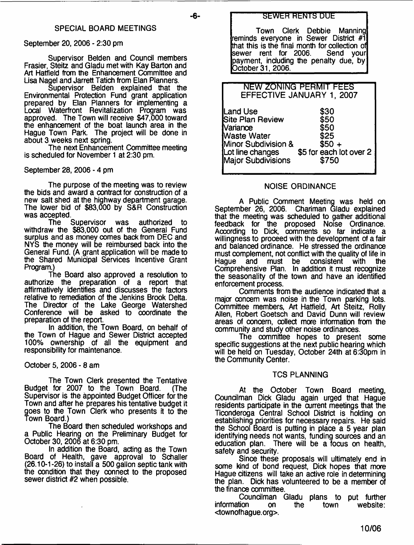#### September 20, 2006 - 2:30 pm

Supervisor Belden and Council members Frasier, Steitz and Gladu met with Kay Barton and Art Hatfield from the Enhancement Committee and Lisa Nagel and Jarrett Tatich from Elan Planners.

Supervisor Belden explained that the Environmental Protection Fund grant application prepared by Elan Planners for implementing a Local Waterfront Revitalization Program was approved. The Town will receive \$47,000 toward the enhancement of the boat launch area in the Hague Town Park. The project will be done in about 3 weeks next spring.

The next Enhancement Committee meeting is scheduled for November 1 at 2:30 pm.

September 28, 2006 - 4 pm

The purpose of the meeting was to review the bids and award a contract for construction of a new salt shed at the highway department garage. The lower bid of \$83,000 by S&R Construction was accepted.<br>! The

Supervisor was authorized to withdraw the \$83,000 out of the General Fund surplus and as money comes back from DEC and NYS the money will be reimbursed back into the General Fund. (A grant application will be made to the Shared Municipal Services Incentive Grant Program.)

The Board also approved a resolution to authorize the preparation of a report that affirmatively identifies and discusses the factors relative to remediation of the Jenkins Brook Delta. The Director of the Lake George Watershed Conference will be asked to coordinate the preparation of the report.

In addition, the Town Board, on behalf of the Town of Hague and Sewer District accepted 100% ownership of all the equipment and responsibility for maintenance.

October 5, 2006 - 8 am

The Town Clerk presented the Tentative Budget for 2007 to the Town Board. (The Supervisor is the appointed Budget Officer for the Town and after he prepares his tentative budget it goes to the Town Clerk who presents it to the Town Board.)

The Board then scheduled workshops and a Public Hearing on the Preliminary Budget for October 30, 2006 at 6:30 pm.

In addition the Board, acting as the Town Board of Health, gave approval to Schaller (26.10-1-26) to install a 500 gallon septic tank with the condition that they connect to the proposed sewer district #2 when possible.

Town Clerk Debbie Manning reminds everyone in Sewer District #1 that this is the final month for collection of<br>sewer rent for 2006. Send your sewer rent for 2006. payment, including the penalty due, by October 31, 2006.

| NEW ZONING PERMIT FEES                 |                         |  |
|----------------------------------------|-------------------------|--|
| EFFECTIVE JANUARY 1, 2007              |                         |  |
|                                        |                         |  |
|                                        |                         |  |
| Land Use                               | \$30                    |  |
| Site Plan Review                       | \$50                    |  |
|                                        |                         |  |
| <b>Nariance</b>                        | \$50                    |  |
| <b>Waste Water</b>                     | \$25                    |  |
| Minor Subdivision &                    | $$50 +$                 |  |
|                                        |                         |  |
| Lot line changes<br>Major Subdivisions | \$5 for each lot over 2 |  |
|                                        | \$750                   |  |
|                                        |                         |  |
|                                        |                         |  |

#### NOISE ORDINANCE

A Public Comment Meeting was held on September 26, 2006. Chariman Gladu explained that the meeting was scheduled to gather additional feedback for the proposed Noise Ordinance. According to Dick, comments so far indicate a willingness to proceed with the development of a fair and balanced ordinance. He stressed the ordinance must complement, not conflict with the quality of life in<br>Hague and must be consistent with the Hague and must be consistent with the Comprehensive Plan. In addition it must recognize the seasonality of the town and have an identified enforcement process.

Comments from the audience indicated that a major concern was noise in the Town parking lots. Committee members, Art Hatfield, Art Steitz, Roily Allen, Robert Goetsch and David Dunn will review areas of concern, collect more information from the community and study other noise ordinances.

The committee hopes to present some specific suggestions at the next public hearing which will be held on Tuesday, October 24th at 6:30pm in the Community Center.

#### TCS PLANNING

At the October Town Board meeting, Councilman Dick Gladu again urged that Hague residents participate in the current meetings that the Ticonderoga Central School District is holding on establishing priorities for necessary repairs. He said the School Board is putting in place a 5 year plan identifying needs not wants, funding sources and an education plan. There will be a focus on health, safety and security.

Since these proposals will ultimately end in some kind of bond request, Dick hopes that more Hague citizens will take an active role in determining the plan. Dick has volunteered to be a member of the finance committee.

Councilman Gladu plans to put further information on the town website: <townofhague.org>.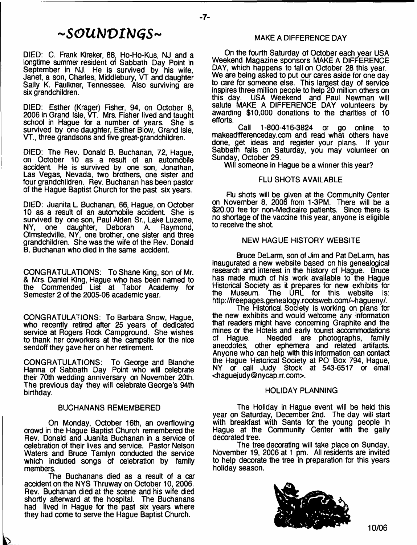# ~SOUNDINGS~

DIED: C. Frank Kireker, 88, Ho-Ho-Kus, NJ and a longtime summer resident of Sabbath Day Point in September in NJ. He is survived by his wife, Janet, a son, Charles, Middlebury, VT and daughter Sally K. Faulkner, Tennessee. Also surviving are six grandchildren.

DIED: Esther (Krager) Fisher, 94, on October 8, 2006 in Grand Isle, VT. Mrs. Fisher lived and taught school in Hague for a number of years. She is survived by one daughter, Esther Blow, Grand Isle. VT., three grandsons and five great-grandchildren.

DIED: The Rev. Donald B. Buchanan, 72, Hague, on October 10 as a result of an automobile accident. He is survived by one son, Jonathan, Las Vegas, Nevada, two brothers, one sister and four grandchildren. Rev. Buchanan has been pastor of the Hague Baptist Church for the past six years.

DIED: Juanita L. Buchanan, 66, Hague, on October 10 as a result of an automobile accident. She is survived by one son, Paul Alden Sr., Lake Luzerne,<br>NY. one daughter. Deborah A. Raymond. NY, one daughter, Deborah A. Raymond, Olmstedville, NY, one brother, one sister and three grandchildren. She was the wife of the Rev. Donald B. Buchanan who died in the same accident.

CONGRATULATIONS: To Shane King, son of Mr. & Mrs. Daniel King, Hague who has been named to the Commended List at Tabor Academy for Semester 2 of the 2005-06 academic year.

CONGRATULATIONS: To Barbara Snow, Hague, who recently retired after 25 years of dedicated service at Rogers Rock Campground. She wishes to thank her coworkers at the campsite for the nice sendoff they gave her on her retirement.

CONGRATULATIONS: To George and Blanche Hanna of Sabbath Day Point who will celebrate their 70th wedding anniversary on November 20th. The previous day they will celebrate George's 94th birthday.

#### BUCHANANS REMEMBERED

On Monday, October 16th, an overflowing crowd in the Hague Baptist Church remembered the Rev. Donald and Juanita Buchanan in a service of celebration of their lives and service. Pastor Nelson Waters and Bruce Tamlyn conducted the service which included songs of celebration by family members.

The Buchanans died as a result of a car accident on the NYS Thruway on October 10, 2006. Rev. Buchanan died at the scene and his wife died shortly afterward at the hospital. The Buchanans had lived in Hague for the past six years where they had come to serve the Hague Baptist Church.

#### MAKE A DIFFERENCE DAY

On the fourth Saturday of October each year USA Weekend Magazine sponsors MAKE A DIFFERENCE DAY, which happens to fall on October 28 this year. We are being asked to put our cares aside for one day to care for someone else. This largest day of service inspires three million people to help 20 million others on this day. USA Weekend and Paul Newman will salute MAKE A DIFFERENCE DAY volunteers by awarding \$10,000 donations to the charities of 10 efforts.

Call 1 -800-416-3824 or go online to makeadifferenceday.com and read what others have done, get ideas and register your plans. If your Sabbath falls on Saturday, you may volunteer on Sunday, October 29.

Will someone in Hague be a winner this year?

#### FLU SHOTS AVAILABLE

Flu shots will be given at the Community Center on November 8, 2006 from 1-3PM. There will be a \$20.00 fee for non-Medicaire patients. Since there is no shortage of the vaccine this year, anyone is eligible to receive the shot.

#### NEW HAGUE HISTORY WEBSITE

Bruce DeLarm, son of Jim and Pat DeLarm, has inaugurated a new website based on his genealogical research and interest in the history of Hague. Bruce has made much of his work available to the Hague Historical Society as it prepares for new exhibits for the Museum. The URL for this website is: <http://freepages.genealogy.rootsweb.com/-hagueny/>.

The Historical Society is working on plans for the new exhibits and would welcome any information that readers might have concerning Graphite and the mines or the Hotels and early tourist accommodations of Hague. Needed are photographs, family anecdotes, other ephemera and related artifacts. Anyone who can help with this information can contact the Hague Historical Society at PO Box 794, Hague, NY or call Judy Stock at 543-6517 or email [<haguejudy@nycap.rr.com](mailto:haguejudy@nycap.rr.com)>.

#### HOLIDAY PLANNING

The Holiday in Hague event will be held this year on Saturday, December 2nd. The day will start with breakfast with Santa for the young people in Hague at the Community Center with the gaily decorated tree.

The tree decorating will take place on Sunday, November 19, 2006 at 1 pm. All residents are invited to help decorate the tree in preparation for this years holiday season.

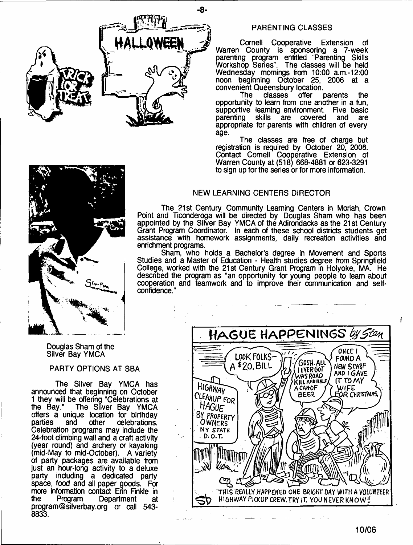

#### PARENTING CLASSES

Cornell Cooperative Extension of Warren County is sponsoring a 7-week parenting program entitled "Parenting Skills Workshop Series". The classes will be held Wednesday mornings from 10:00 a.m.-12:00 noon beginning October 25, 2006 at a convenient Queensbury location.<br>The classes offer p

parents the opportunity to learn from one another in a fun, supportive learning environment. Five basic<br>parenting skills are covered and are are covered appropriate for parents with children of every age.

The classes are free of charge but registration is required by October 20, 2006. Contact Cornell Cooperative Extension of Warren County at (518) 668-4881 or 623-3291 to sign up for the series or for more information.

#### NEW LEARNING CENTERS DIRECTOR

The 21st Century Community Learning Centers in Moriah, Crown Point and Ticonderoga will be directed by Douglas Sham who has been appointed by the Silver Bay YMCA of the Adirondacks as the 21st Century Grant Program Coordinator. In each of these school districts students get assistance with homework assignments, daily recreation activities and enrichment programs.

Sham, who holds a Bachelor's degree in Movement and Sports Studies and a Master of Education - Health studies degree from Springfield College, worked with the 21st Century Grant Program in Holyoke, MA. He described the program as "an opportunity for young people to learn about cooperation and teamwork and to improve their communication and selfconfidence.

Douglas Sham of the Silver Bay YMCA

#### PARTY OPTIONS AT SBA

The Silver Bay YMCA has announced that beginning on October 1 they will be offering "Celebrations at<br>the Bay." The Silver Bay YMCA The Silver Bay. YMCA offers a unique location for birthday<br>parties and other celebrations. celebrations. Celebration programs may include the 24-foot climbing wall and a craft activity (year round) and archery or kayaking (mid-May to mid-October). A variety of party packages are available from just an hour-long activity to a deluxe party including a dedicated party space, food and all paper goods. For more information contact Erin Finkle in<br>the Program Department at Department at [program@silverbay.org](mailto:program@silverbay.org) or call 543- 8833.



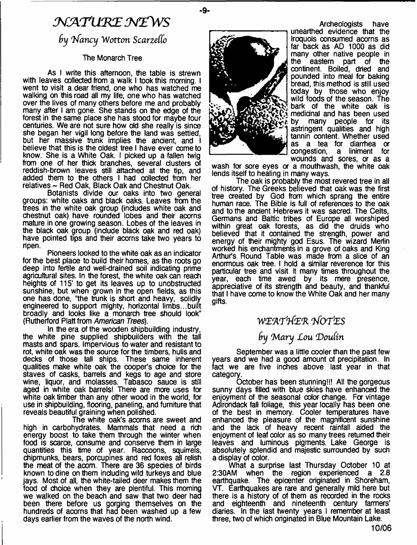# *M A T \m E N Z \V S*

### *9y Infancy W otton ScarzeCCo*

#### The Monarch Tree

As I write this afternoon, the table is strewn with leaves collected from a walk I took this morning. I went to visit a dear friend, one who has watched me walking on this road all my life, one who has watched over the lives of many others before me and probably many after I am gone. She stands on the edge of the forest in the same place she has stood for maybe four centuries. We are not sure how old she really is since she began her vigil long before the land was settled, but her massive trunk implies the ancient, and I believe that this is the oldest tree I have ever come to know. She is a White Oak. I picked up a fallen twig from one of her thick branches, several clusters of reddish-brown leaves still attached at the tip, and added them to the others I had collected from her relatives ~ Red Oak, Black Oak and Chestnut Oak.

Botanists divide our oaks into two general groups: white oaks and black oaks. Leaves from the trees in the white oak group (includes white oak and chestnut oak) have rounded lobes and their acorns mature in one growing season. Lobes of the leaves in the black oak group (include black oak and red oak) have pointed tips and their acorns take two years to ripen.

Pioneers looked to the white oak as an indicator for the best place to build their homes, as the roots go deep into fertile and well-drained soil indicating prime agricultural sites. In the forest, the white oak can reach heights of 115' to get its leaves up to unobstructed sunshine, but when grown in the open fields, as this one has done, "the trunk is short and heavy, solidly engineered to support mighty, horizontal limbs...built broadly and looks like a monarch tree should look" (Rutherford Platt from *American Trees).*

In the era of the wooden shipbuilding industry, the white pine supplied shipbuilders with the tall masts and spars. Impervious to water and resistant to rot, white oak was the source for the timbers, hulls and decks of those tall ships. These same inherent qualities make white oak the cooper's choice for the staves of casks, barrels and kegs to age and store wine, liquor, and molasses. Tabasco sauce is still aged in white oak barrels! There are more uses for white oak timber than any other wood in the world, for use in shipbuilding, flooring, paneling, and furniture that reveals beautiful graining when polished.

The white oak's acorns are sweet and high in carbohydrates. Mammals that need a rich energy boost to take them through the winter when food is scarce, consume and conserve them in large quantities this time of year. Raccoons, squirrels, chipmunks, bears, porcupines and red foxes all relish the meat of the acorn. There are 36 species of birds known to dine on them including wild turkeys and blue jays. Most of all, the white-tailed deer makes them the food of choice when they are plentiful. This morning we walked on the beach and saw that two deer had been there before us gorging themselves on the hundreds of acorns that had been washed up a few days earlier from the waves of the north wind.



-9.

Archeologists have unearthed evidence that the Iroquois consumed acorns as far back as AD 1000 as did many other native people in the eastern part of the continent. Boiled, dried and pounded into meal for baking bread, this method is still used today by those who enjoy wild foods of the season. The bark of the white oak is medicinal and has been used by many people for its astringent qualities and high tannin content. Whether used as a tea for diarrhea *or* congestion, a liniment for wounds and sores, or as a

wash for sore eyes or a mouthwash, the white oak lends itself to healing in many ways.

The oak is probably the most revered tree in all of history. The Greeks believed that oak was the first tree created by God from which sprang the entir human race. The Bible is full of references to the oak and to the ancient Hebrews it was sacred. The Celts, Germans and Baltic tribes of Europe all worshiped within great oak forests, as did the druids who believed that it contained the strength, power and energy of their mighty god Esus. The wizard Merlin worked his enchantments in a grove of oaks and King Arthur's Round Table was made from a slice of an enormous oak tree. I hold a similar reverence for this particular tree and visit it many times throughout the year, each time awed by its mere presence, appreciative of its strength and beauty, and thankful that I have come to know the White Oak and her many gifts.

### WEATHER NOTES

## by Mary Lou Doulin

September was a little cooler than the past few years and we had a good amount of precipitation. In fact we are five inches above last year in that category.

October has been stunning!!! All the gorgeous sunny days filled with blue skies have enhanced the enjoyment of the seasonal color change. For vintage Adirondack fall foliage, this year locally has been one of the best in memory. Cooler temperatures have enhanced the pleasure of the magnificent sunshine and the lack of heavy recent rainfall aided the enjoyment of leaf color as so many trees returned their leaves and luminous pigments. Lake George is absolutely splendid and majestic surrounded by such a display of color.

What a surprise last Thursday October 10 at 2:30AM when the region experienced a 2.8 earthquake. The epioenter originated in Shoreham, VT. Earthquakes are rare and generally mild here but there is a history of of them as recorded in the rocks and eighteenth and nineteenth century farmers' diaries. In the last twenty years I remember at least three, two of which originated in Blue Mountain Lake.